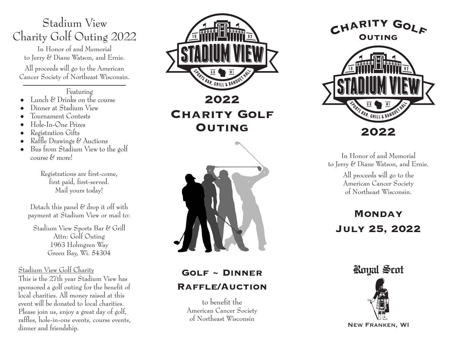# Stadium View Charity Golf Outing 2022

In Honor of and Memorial to Jerry & Diane Watson, and Ernie.

All proceeds will go to the American Cancer Society of Northeast Wisconsin.

#### Featuring

- Lunch & Drinks on the course<br>• Dinner at Stadium View<br>• Tournament Contests<br>• Hole-In-One Prizes<br>• Registration Gifts<br>• Raffle Drawings & Auctions<br>• Bus from Stadium View to the golf
- 
- 
- 
- 
- 
- course & more!

Registrations are first-come, first paid, first-served. Mail yours today!

Detach this panel  $\mathcal C$  drop it off with payment at Stadium View or mail to:

Stadium View Sports Bar & Grill Attn: Golf Outing 1963 Holmgren Way Green Bay, Wi. 54304

Stadium View Golf Charity

This is the 27th year Stadium View has sponsored a golf outing for the benefit of local charities. All money raised at this event will be donated to local charities. Please join us, enjoy a great day of golf, raffles, hole-in-one events, course events, dinner and friendship.



**Charity Golf Outing**



## **Golf ~ Dinner Raffle/Auction**

to benefit the American Cancer Society of Northeast Wisconsin





In Honor of and Memorial to Jerry & Diane Watson, and Ernie.

> All proceeds will go to the American Cancer Society of Northeast Wisconsin.

**MONDAY July 25, 2022**